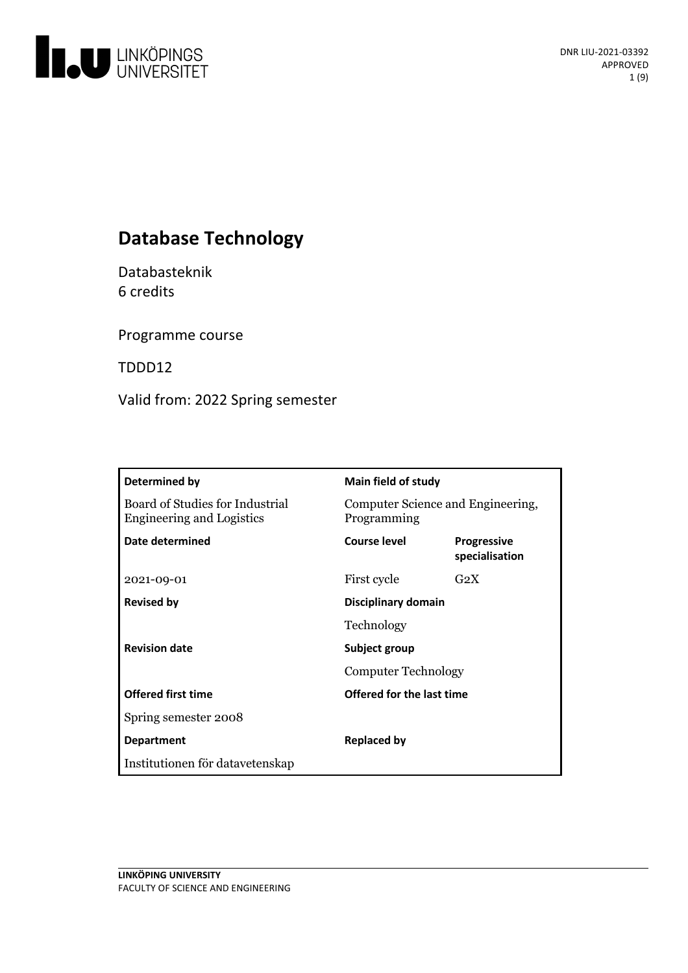

# **Database Technology**

Databasteknik 6 credits

Programme course

TDDD12

Valid from: 2022 Spring semester

| Determined by                                                       | <b>Main field of study</b>                       |                                      |
|---------------------------------------------------------------------|--------------------------------------------------|--------------------------------------|
| Board of Studies for Industrial<br><b>Engineering and Logistics</b> | Computer Science and Engineering,<br>Programming |                                      |
| Date determined                                                     | Course level                                     | <b>Progressive</b><br>specialisation |
| 2021-09-01                                                          | First cycle                                      | $G_2X$                               |
| <b>Revised by</b>                                                   | Disciplinary domain                              |                                      |
|                                                                     | Technology                                       |                                      |
| <b>Revision date</b>                                                | Subject group<br><b>Computer Technology</b>      |                                      |
|                                                                     |                                                  |                                      |
| <b>Offered first time</b>                                           | Offered for the last time                        |                                      |
| Spring semester 2008                                                |                                                  |                                      |
| <b>Department</b>                                                   | <b>Replaced by</b>                               |                                      |
| Institutionen för datavetenskap                                     |                                                  |                                      |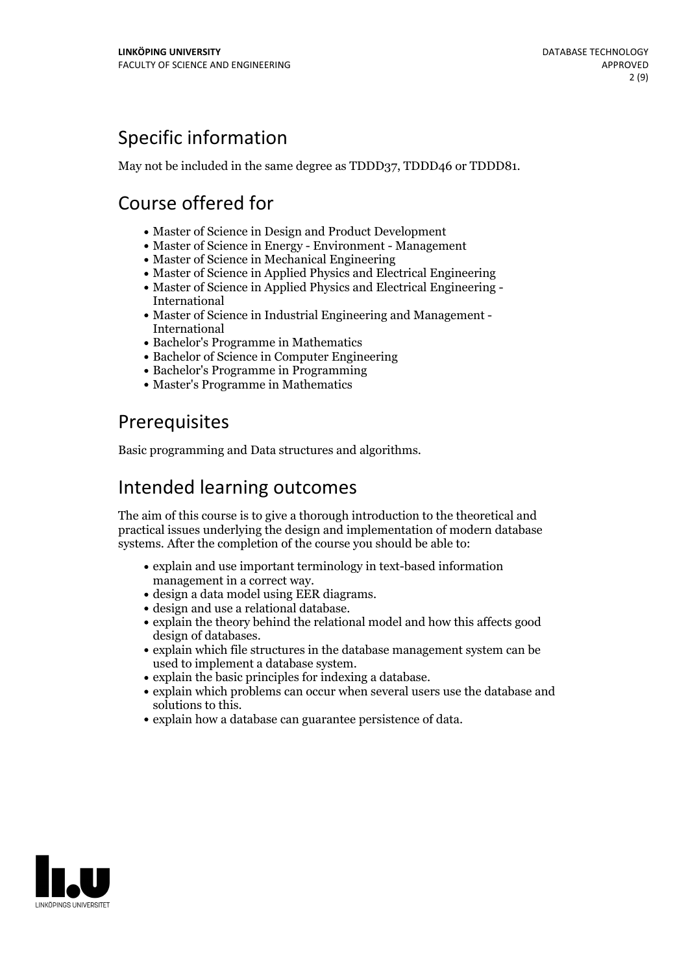# Specific information

May not be included in the same degree as TDDD37, TDDD46 or TDDD81.

# Course offered for

- Master of Science in Design and Product Development
- Master of Science in Energy Environment Management
- Master of Science in Mechanical Engineering
- Master of Science in Applied Physics and Electrical Engineering
- Master of Science in Applied Physics and Electrical Engineering International
- Master of Science in Industrial Engineering and Management International
- Bachelor's Programme in Mathematics
- Bachelor of Science in Computer Engineering
- Bachelor's Programme in Programming
- Master's Programme in Mathematics

# **Prerequisites**

Basic programming and Data structures and algorithms.

# Intended learning outcomes

The aim of this course is to give a thorough introduction to the theoretical and practical issues underlying the design and implementation of modern database systems. After the completion of the course you should be able to:

- explain and use important terminology in text-based information
- management in a correct way.<br>• design a data model using EER diagrams.<br>• design and use a relational database.
- 
- explain the theory behind the relational model and how this affects good design of databases.<br>• explain which file structures in the database management system can be
- 
- 
- used to implement <sup>a</sup> database system. explain the basic principles for indexing <sup>a</sup> database. explain which problems can occur when several users use the database and
- explain how a database can guarantee persistence of data.

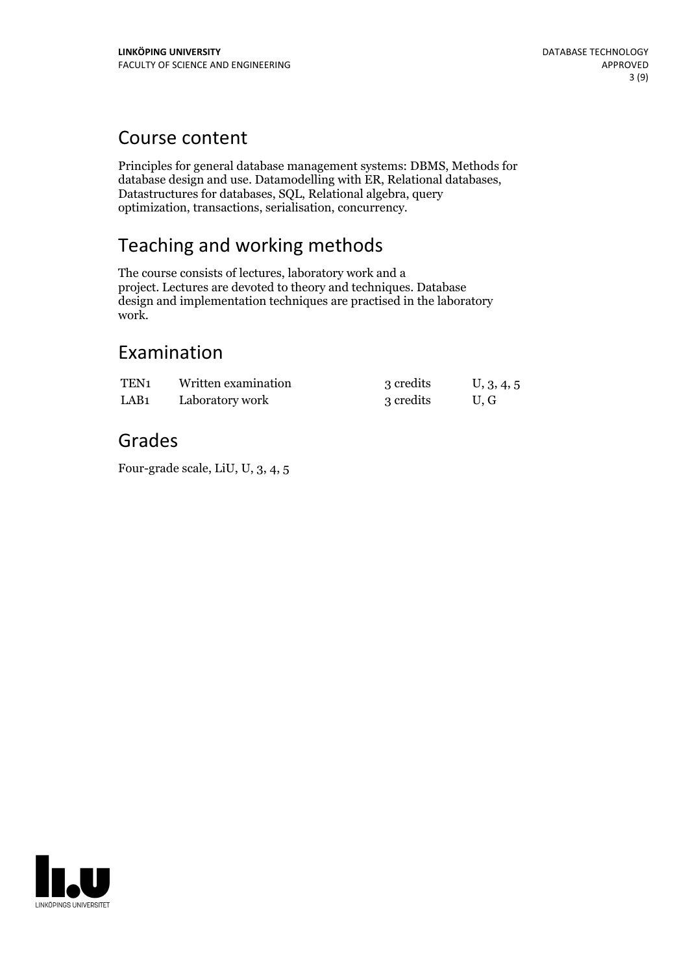## Course content

Principles for general database management systems: DBMS, Methods for database design and use. Datamodelling with ER, Relational databases, Datastructures for databases, SQL, Relational algebra, query optimization, transactions, serialisation, concurrency.

# Teaching and working methods

The course consists of lectures, laboratory work and a project. Lectures are devoted to theory and techniques. Database design and implementation techniques are practised in the laboratory work.

## Examination

| TEN <sub>1</sub> | Written examination | 3 credits | U, 3, 4, 5 |
|------------------|---------------------|-----------|------------|
| LAB <sub>1</sub> | Laboratory work     | 3 credits | U.G        |

## Grades

Four-grade scale, LiU, U, 3, 4, 5

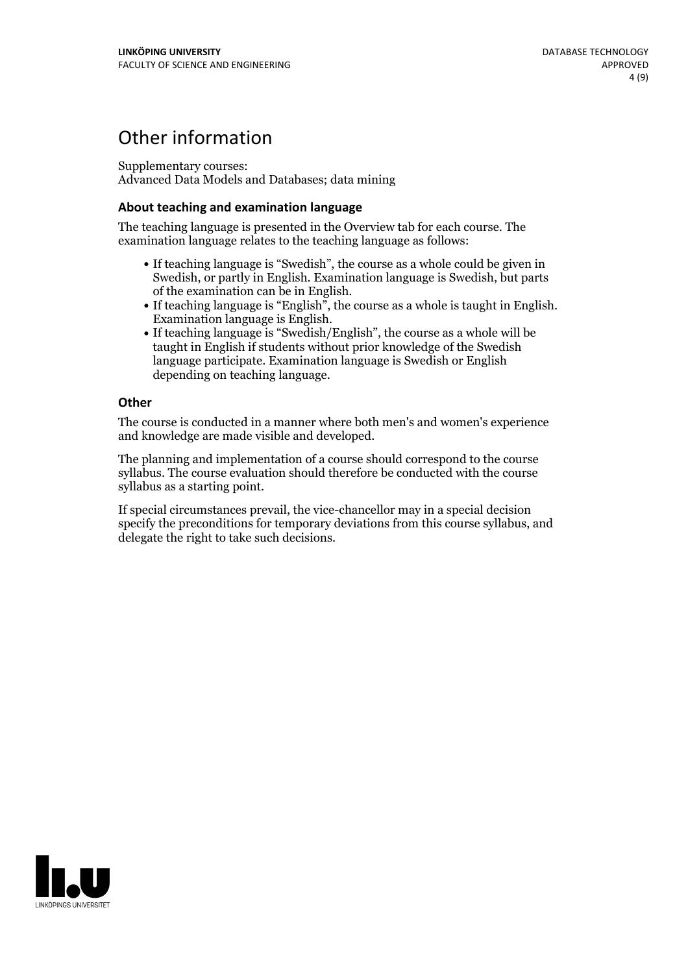## Other information

Supplementary courses: Advanced Data Models and Databases; data mining

### **About teaching and examination language**

The teaching language is presented in the Overview tab for each course. The examination language relates to the teaching language as follows:

- If teaching language is "Swedish", the course as a whole could be given in Swedish, or partly in English. Examination language is Swedish, but parts
- of the examination can be in English. If teaching language is "English", the course as <sup>a</sup> whole is taught in English. Examination language is English. If teaching language is "Swedish/English", the course as <sup>a</sup> whole will be
- taught in English if students without prior knowledge of the Swedish language participate. Examination language is Swedish or English depending on teaching language.

### **Other**

The course is conducted in a manner where both men's and women's experience and knowledge are made visible and developed.

The planning and implementation of a course should correspond to the course syllabus. The course evaluation should therefore be conducted with the course syllabus as a starting point.

If special circumstances prevail, the vice-chancellor may in a special decision specify the preconditions for temporary deviations from this course syllabus, and delegate the right to take such decisions.

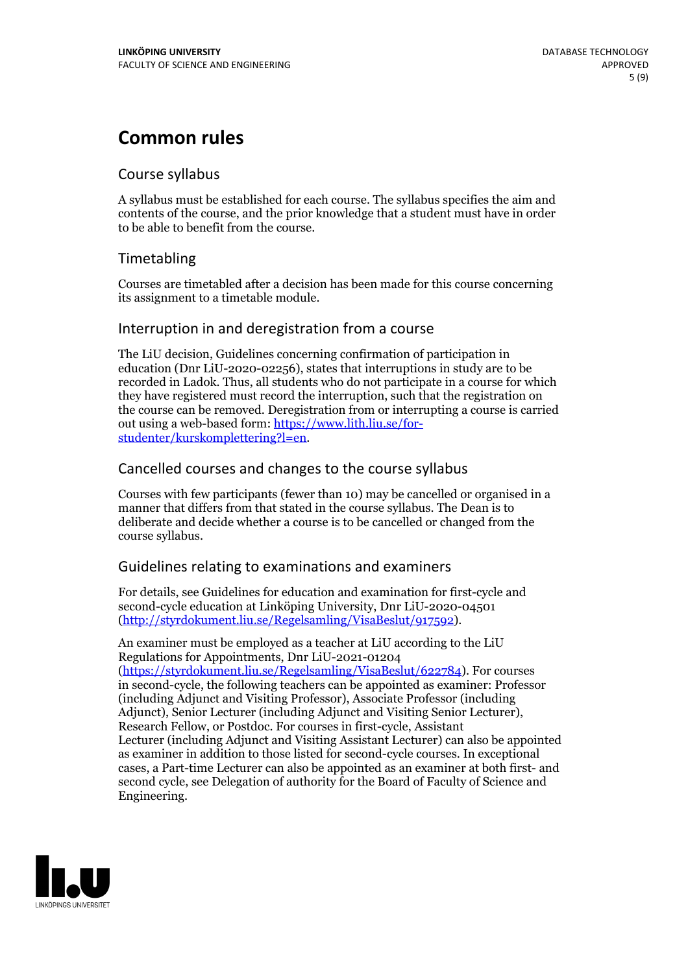# **Common rules**

### Course syllabus

A syllabus must be established for each course. The syllabus specifies the aim and contents of the course, and the prior knowledge that a student must have in order to be able to benefit from the course.

### Timetabling

Courses are timetabled after a decision has been made for this course concerning its assignment to a timetable module.

### Interruption in and deregistration from a course

The LiU decision, Guidelines concerning confirmation of participation in education (Dnr LiU-2020-02256), states that interruptions in study are to be recorded in Ladok. Thus, all students who do not participate in a course for which they have registered must record the interruption, such that the registration on the course can be removed. Deregistration from or interrupting a course is carried out using <sup>a</sup> web-based form: https://www.lith.liu.se/for- [studenter/kurskomplettering?l=en.](https://www.lith.liu.se/for-studenter/kurskomplettering?l=en)

### Cancelled courses and changes to the course syllabus

Courses with few participants (fewer than 10) may be cancelled or organised in a manner that differs from that stated in the course syllabus. The Dean is to deliberate and decide whether a course is to be cancelled or changed from the course syllabus.

### Guidelines relating to examinations and examiners

For details, see Guidelines for education and examination for first-cycle and second-cycle education at Linköping University, Dnr LiU-2020-04501 [\(http://styrdokument.liu.se/Regelsamling/VisaBeslut/917592\)](http://styrdokument.liu.se/Regelsamling/VisaBeslut/917592).

An examiner must be employed as a teacher at LiU according to the LiU Regulations for Appointments, Dnr LiU-2021-01204 [\(https://styrdokument.liu.se/Regelsamling/VisaBeslut/622784](https://styrdokument.liu.se/Regelsamling/VisaBeslut/622784)). For courses in second-cycle, the following teachers can be appointed as examiner: Professor (including Adjunct and Visiting Professor), Associate Professor (including Adjunct), Senior Lecturer (including Adjunct and Visiting Senior Lecturer), Research Fellow, or Postdoc. For courses in first-cycle, Assistant Lecturer (including Adjunct and Visiting Assistant Lecturer) can also be appointed as examiner in addition to those listed for second-cycle courses. In exceptional cases, a Part-time Lecturer can also be appointed as an examiner at both first- and second cycle, see Delegation of authority for the Board of Faculty of Science and Engineering.

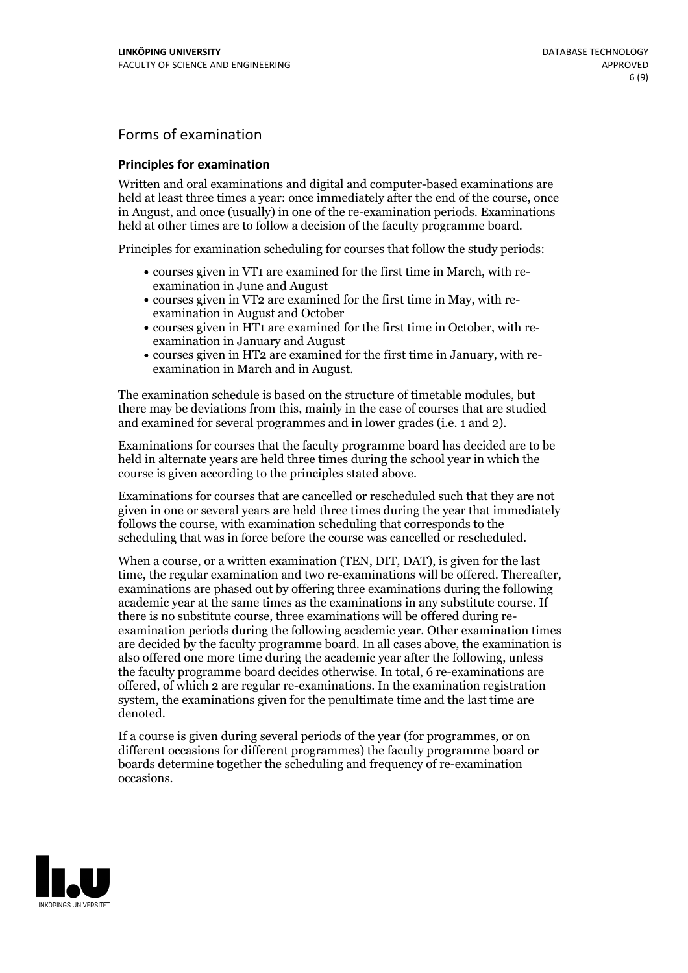## Forms of examination

### **Principles for examination**

Written and oral examinations and digital and computer-based examinations are held at least three times a year: once immediately after the end of the course, once in August, and once (usually) in one of the re-examination periods. Examinations held at other times are to follow a decision of the faculty programme board.

Principles for examination scheduling for courses that follow the study periods:

- courses given in VT1 are examined for the first time in March, with re-examination in June and August
- courses given in VT2 are examined for the first time in May, with re-examination in August and October
- courses given in HT1 are examined for the first time in October, with re-examination in January and August
- courses given in HT2 are examined for the first time in January, with re-examination in March and in August.

The examination schedule is based on the structure of timetable modules, but there may be deviations from this, mainly in the case of courses that are studied and examined for several programmes and in lower grades (i.e. 1 and 2).

Examinations for courses that the faculty programme board has decided are to be held in alternate years are held three times during the school year in which the course is given according to the principles stated above.

Examinations for courses that are cancelled orrescheduled such that they are not given in one or several years are held three times during the year that immediately follows the course, with examination scheduling that corresponds to the scheduling that was in force before the course was cancelled or rescheduled.

When a course, or a written examination (TEN, DIT, DAT), is given for the last time, the regular examination and two re-examinations will be offered. Thereafter, examinations are phased out by offering three examinations during the following academic year at the same times as the examinations in any substitute course. If there is no substitute course, three examinations will be offered during re- examination periods during the following academic year. Other examination times are decided by the faculty programme board. In all cases above, the examination is also offered one more time during the academic year after the following, unless the faculty programme board decides otherwise. In total, 6 re-examinations are offered, of which 2 are regular re-examinations. In the examination registration system, the examinations given for the penultimate time and the last time are denoted.

If a course is given during several periods of the year (for programmes, or on different occasions for different programmes) the faculty programme board or boards determine together the scheduling and frequency of re-examination occasions.

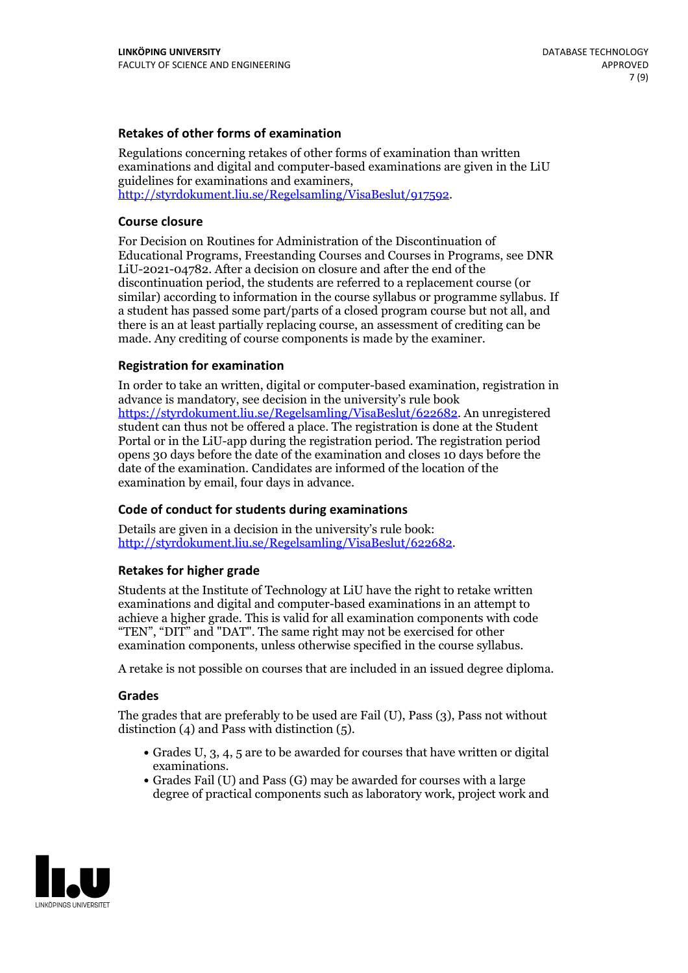### **Retakes of other forms of examination**

Regulations concerning retakes of other forms of examination than written examinations and digital and computer-based examinations are given in the LiU guidelines for examinations and examiners, [http://styrdokument.liu.se/Regelsamling/VisaBeslut/917592.](http://styrdokument.liu.se/Regelsamling/VisaBeslut/917592)

#### **Course closure**

For Decision on Routines for Administration of the Discontinuation of Educational Programs, Freestanding Courses and Courses in Programs, see DNR LiU-2021-04782. After a decision on closure and after the end of the discontinuation period, the students are referred to a replacement course (or similar) according to information in the course syllabus or programme syllabus. If a student has passed some part/parts of a closed program course but not all, and there is an at least partially replacing course, an assessment of crediting can be made. Any crediting of course components is made by the examiner.

#### **Registration for examination**

In order to take an written, digital or computer-based examination, registration in advance is mandatory, see decision in the university's rule book [https://styrdokument.liu.se/Regelsamling/VisaBeslut/622682.](https://styrdokument.liu.se/Regelsamling/VisaBeslut/622682) An unregistered student can thus not be offered a place. The registration is done at the Student Portal or in the LiU-app during the registration period. The registration period opens 30 days before the date of the examination and closes 10 days before the date of the examination. Candidates are informed of the location of the examination by email, four days in advance.

#### **Code of conduct for students during examinations**

Details are given in a decision in the university's rule book: <http://styrdokument.liu.se/Regelsamling/VisaBeslut/622682>.

#### **Retakes for higher grade**

Students at the Institute of Technology at LiU have the right to retake written examinations and digital and computer-based examinations in an attempt to achieve a higher grade. This is valid for all examination components with code "TEN", "DIT" and "DAT". The same right may not be exercised for other examination components, unless otherwise specified in the course syllabus.

A retake is not possible on courses that are included in an issued degree diploma.

#### **Grades**

The grades that are preferably to be used are Fail (U), Pass (3), Pass not without distinction  $(4)$  and Pass with distinction  $(5)$ .

- Grades U, 3, 4, 5 are to be awarded for courses that have written or digital examinations.<br>• Grades Fail (U) and Pass (G) may be awarded for courses with a large
- degree of practical components such as laboratory work, project work and

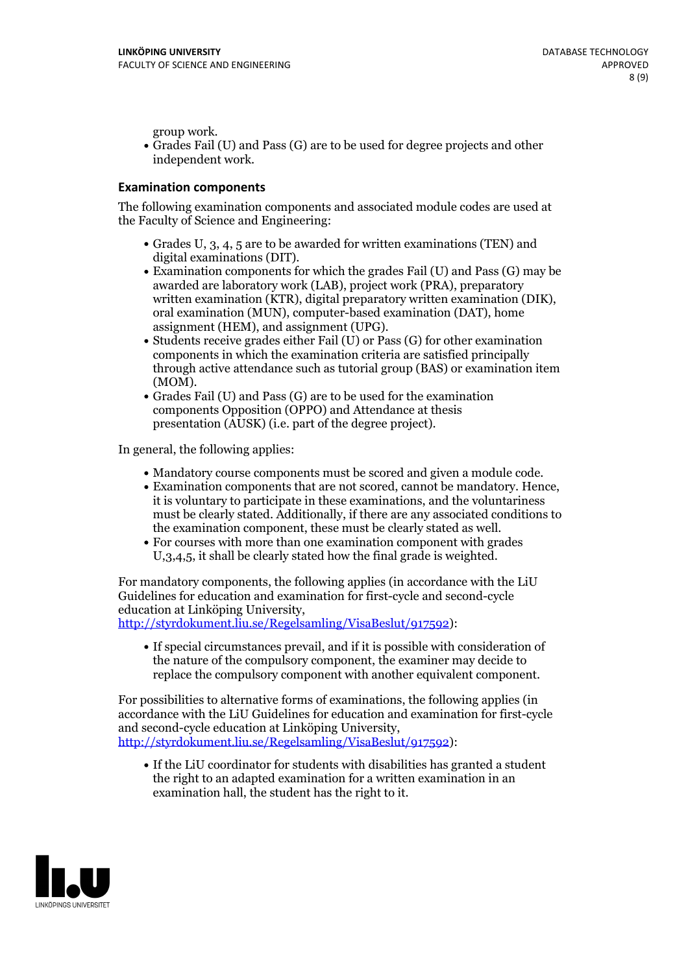group work.<br>• Grades Fail (U) and Pass (G) are to be used for degree projects and other independent work.

### **Examination components**

The following examination components and associated module codes are used at the Faculty of Science and Engineering:

- Grades U, 3, 4, 5 are to be awarded for written examinations (TEN) and
- digital examinations (DIT).<br>• Examination components for which the grades Fail (U) and Pass (G) may be awarded are laboratory work (LAB), project work (PRA), preparatory written examination (KTR), digital preparatory written examination (DIK), oral examination (MUN), computer-based examination (DAT), home
- assignment (HEM), and assignment (UPG).<br>• Students receive grades either Fail (U) or Pass (G) for other examination components in which the examination criteria are satisfied principally through active attendance such as tutorial group (BAS) or examination item
- (MOM).<br>• Grades Fail (U) and Pass (G) are to be used for the examination components Opposition (OPPO) and Attendance at thesis presentation (AUSK) (i.e. part of the degree project).

In general, the following applies:

- 
- Mandatory course components must be scored and given <sup>a</sup> module code. Examination components that are not scored, cannot be mandatory. Hence, it is voluntary to participate in these examinations, and the voluntariness must be clearly stated. Additionally, if there are any associated conditions to
- the examination component, these must be clearly stated as well.<br>• For courses with more than one examination component with grades U,3,4,5, it shall be clearly stated how the final grade is weighted.

For mandatory components, the following applies (in accordance with the LiU Guidelines for education and examination for first-cycle and second-cycle education at Linköping University,<br>[http://styrdokument.liu.se/Regelsamling/VisaBeslut/917592\)](http://styrdokument.liu.se/Regelsamling/VisaBeslut/917592):

If special circumstances prevail, and if it is possible with consideration of the nature of the compulsory component, the examiner may decide to replace the compulsory component with another equivalent component.

For possibilities to alternative forms of examinations, the following applies (in accordance with the LiU Guidelines for education and examination for first-cycle [http://styrdokument.liu.se/Regelsamling/VisaBeslut/917592\)](http://styrdokument.liu.se/Regelsamling/VisaBeslut/917592):

If the LiU coordinator for students with disabilities has granted a student the right to an adapted examination for a written examination in an examination hall, the student has the right to it.